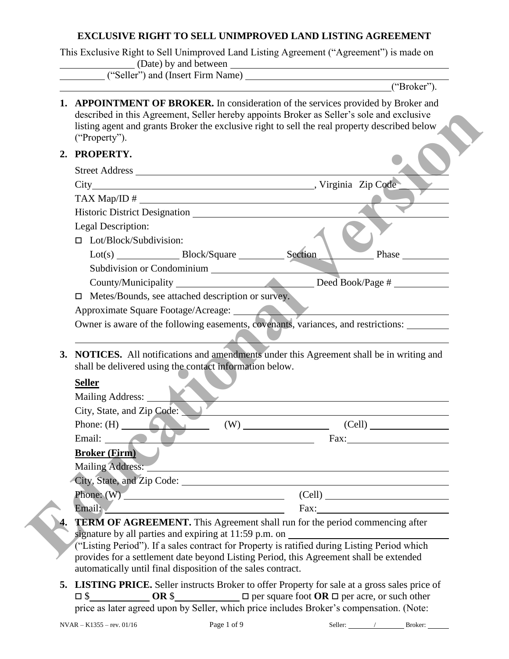#### **EXCLUSIVE RIGHT TO SELL UNIMPROVED LAND LISTING AGREEMENT**

This Exclusive Right to Sell Unimproved Land Listing Agreement ("Agreement") is made on (Date) by and between ("Seller") and (Insert Firm Name)

|                                                                                              |                                                                                                                       | ("Broker").                                                                                                                                                                                                                                                                     |
|----------------------------------------------------------------------------------------------|-----------------------------------------------------------------------------------------------------------------------|---------------------------------------------------------------------------------------------------------------------------------------------------------------------------------------------------------------------------------------------------------------------------------|
| ("Property").                                                                                |                                                                                                                       | 1. APPOINTMENT OF BROKER. In consideration of the services provided by Broker and<br>described in this Agreement, Seller hereby appoints Broker as Seller's sole and exclusive<br>listing agent and grants Broker the exclusive right to sell the real property described below |
| 2. PROPERTY.                                                                                 |                                                                                                                       |                                                                                                                                                                                                                                                                                 |
|                                                                                              |                                                                                                                       |                                                                                                                                                                                                                                                                                 |
|                                                                                              |                                                                                                                       |                                                                                                                                                                                                                                                                                 |
| TAX Map/ID # $\_$                                                                            |                                                                                                                       |                                                                                                                                                                                                                                                                                 |
|                                                                                              |                                                                                                                       |                                                                                                                                                                                                                                                                                 |
| Legal Description:                                                                           |                                                                                                                       |                                                                                                                                                                                                                                                                                 |
| $\Box$ Lot/Block/Subdivision:                                                                |                                                                                                                       |                                                                                                                                                                                                                                                                                 |
|                                                                                              |                                                                                                                       | Phase                                                                                                                                                                                                                                                                           |
|                                                                                              | Subdivision or Condominium                                                                                            |                                                                                                                                                                                                                                                                                 |
|                                                                                              |                                                                                                                       |                                                                                                                                                                                                                                                                                 |
| Metes/Bounds, see attached description or survey.<br>$\Box$                                  |                                                                                                                       |                                                                                                                                                                                                                                                                                 |
| Approximate Square Footage/Acreage:                                                          |                                                                                                                       | $\blacktriangleright$                                                                                                                                                                                                                                                           |
|                                                                                              |                                                                                                                       | Owner is aware of the following easements, covenants, variances, and restrictions:                                                                                                                                                                                              |
| shall be delivered using the contact information below.<br><b>Seller</b><br>Mailing Address: |                                                                                                                       | 3. NOTICES. All notifications and amendments under this Agreement shall be in writing and                                                                                                                                                                                       |
| City, State, and Zip Code:                                                                   |                                                                                                                       |                                                                                                                                                                                                                                                                                 |
| Phone: $(H)$                                                                                 |                                                                                                                       | $(W)$ (Cell) (Cell)                                                                                                                                                                                                                                                             |
| Email:                                                                                       | <u> 1980 - Johann Barbara, martin da basar da basar da basar da basar da basar da basar da basar da basar da basa</u> | Fax: $\qquad \qquad \qquad$                                                                                                                                                                                                                                                     |
|                                                                                              |                                                                                                                       |                                                                                                                                                                                                                                                                                 |
|                                                                                              |                                                                                                                       |                                                                                                                                                                                                                                                                                 |
| <b>Broker (Firm)</b>                                                                         |                                                                                                                       |                                                                                                                                                                                                                                                                                 |
|                                                                                              |                                                                                                                       | Mailing Address:                                                                                                                                                                                                                                                                |
|                                                                                              |                                                                                                                       | City, State, and Zip Code:                                                                                                                                                                                                                                                      |
|                                                                                              |                                                                                                                       | $Phone: (W)$ (Cell) (Cell)                                                                                                                                                                                                                                                      |
| Email: V                                                                                     |                                                                                                                       |                                                                                                                                                                                                                                                                                 |
|                                                                                              |                                                                                                                       | TERM OF AGREEMENT. This Agreement shall run for the period commencing after                                                                                                                                                                                                     |
| automatically until final disposition of the sales contract.                                 |                                                                                                                       | ("Listing Period"). If a sales contract for Property is ratified during Listing Period which<br>provides for a settlement date beyond Listing Period, this Agreement shall be extended                                                                                          |

**5. LISTING PRICE.** Seller instructs Broker to offer Property for sale at a gross sales price of \$ **OR** \$ per square foot **OR**  per acre, or such other price as later agreed upon by Seller, which price includes Broker's compensation. (Note: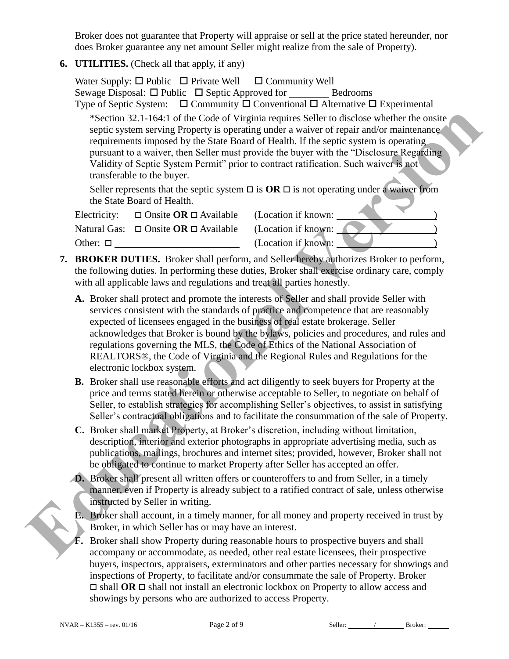Broker does not guarantee that Property will appraise or sell at the price stated hereunder, nor does Broker guarantee any net amount Seller might realize from the sale of Property).

**6. UTILITIES.** (Check all that apply, if any)

|                  | Water Supply: $\Box$ Public $\Box$ Private Well $\Box$ Community Well<br>Sewage Disposal: □ Public □ Septic Approved for _______<br>transferable to the buyer. | Bedrooms<br>Type of Septic System: $\Box$ Community $\Box$ Conventional $\Box$ Alternative $\Box$ Experimental<br>*Section 32.1-164:1 of the Code of Virginia requires Seller to disclose whether the onsite<br>septic system serving Property is operating under a waiver of repair and/or maintenance<br>requirements imposed by the State Board of Health. If the septic system is operating<br>pursuant to a waiver, then Seller must provide the buyer with the "Disclosure Regarding"<br>Validity of Septic System Permit" prior to contract ratification. Such waiver is not<br>Seller represents that the septic system $\Box$ is $OR \Box$ is not operating under a waiver from |
|------------------|----------------------------------------------------------------------------------------------------------------------------------------------------------------|------------------------------------------------------------------------------------------------------------------------------------------------------------------------------------------------------------------------------------------------------------------------------------------------------------------------------------------------------------------------------------------------------------------------------------------------------------------------------------------------------------------------------------------------------------------------------------------------------------------------------------------------------------------------------------------|
|                  | the State Board of Health.                                                                                                                                     |                                                                                                                                                                                                                                                                                                                                                                                                                                                                                                                                                                                                                                                                                          |
| Electricity:     | $\Box$ Onsite OR $\Box$ Available<br>Natural Gas: $\Box$ Onsite <b>OR</b> $\Box$ Available                                                                     | (Location if known:<br>(Location if known:                                                                                                                                                                                                                                                                                                                                                                                                                                                                                                                                                                                                                                               |
| Other: $\square$ |                                                                                                                                                                | (Location if known:                                                                                                                                                                                                                                                                                                                                                                                                                                                                                                                                                                                                                                                                      |
|                  | with all applicable laws and regulations and treat all parties honestly.                                                                                       | 7. BROKER DUTIES. Broker shall perform, and Seller hereby authorizes Broker to perform,<br>the following duties. In performing these duties, Broker shall exercise ordinary care, comply                                                                                                                                                                                                                                                                                                                                                                                                                                                                                                 |
|                  | electronic lockbox system.                                                                                                                                     | A. Broker shall protect and promote the interests of Seller and shall provide Seller with<br>services consistent with the standards of practice and competence that are reasonably<br>expected of licensees engaged in the business of real estate brokerage. Seller<br>acknowledges that Broker is bound by the bylaws, policies and procedures, and rules and<br>regulations governing the MLS, the Code of Ethics of the National Association of<br>REALTORS®, the Code of Virginia and the Regional Rules and Regulations for the                                                                                                                                                    |
|                  |                                                                                                                                                                | <b>B.</b> Broker shall use reasonable efforts and act diligently to seek buyers for Property at the<br>price and terms stated herein or otherwise acceptable to Seller, to negotiate on behalf of<br>Seller, to establish strategies for accomplishing Seller's objectives, to assist in satisfying<br>Seller's contractual obligations and to facilitate the consummation of the sale of Property.                                                                                                                                                                                                                                                                                      |
|                  |                                                                                                                                                                | C. Broker shall market Property, at Broker's discretion, including without limitation,<br>description, interior and exterior photographs in appropriate advertising media, such as<br>publications, mailings, brochures and internet sites; provided, however, Broker shall not<br>be obligated to continue to market Property after Seller has accepted an offer.                                                                                                                                                                                                                                                                                                                       |
|                  | instructed by Seller in writing.                                                                                                                               | D. Broker shall present all written offers or counteroffers to and from Seller, in a timely<br>manner, even if Property is already subject to a ratified contract of sale, unless otherwise                                                                                                                                                                                                                                                                                                                                                                                                                                                                                              |
|                  | Broker, in which Seller has or may have an interest.                                                                                                           | <b>E.</b> Broker shall account, in a timely manner, for all money and property received in trust by                                                                                                                                                                                                                                                                                                                                                                                                                                                                                                                                                                                      |
|                  |                                                                                                                                                                | <b>F.</b> Broker shall show Property during reasonable hours to prospective buyers and shall<br>accompany or accommodate, as needed, other real estate licensees, their prospective                                                                                                                                                                                                                                                                                                                                                                                                                                                                                                      |

- **7. BROKER DUTIES.** Broker shall perform, and Seller hereby authorizes Broker to perform, the following duties. In performing these duties, Broker shall exercise ordinary care, comply with all applicable laws and regulations and treat all parties honestly.
	- **A.** Broker shall protect and promote the interests of Seller and shall provide Seller with services consistent with the standards of practice and competence that are reasonably expected of licensees engaged in the business of real estate brokerage. Seller acknowledges that Broker is bound by the bylaws, policies and procedures, and rules and regulations governing the MLS, the Code of Ethics of the National Association of REALTORS®, the Code of Virginia and the Regional Rules and Regulations for the electronic lockbox system.
	- **B.** Broker shall use reasonable efforts and act diligently to seek buyers for Property at the price and terms stated herein or otherwise acceptable to Seller, to negotiate on behalf of Seller, to establish strategies for accomplishing Seller's objectives, to assist in satisfying Seller's contractual obligations and to facilitate the consummation of the sale of Property.
	- **C.** Broker shall market Property, at Broker's discretion, including without limitation, description, interior and exterior photographs in appropriate advertising media, such as publications, mailings, brochures and internet sites; provided, however, Broker shall not be obligated to continue to market Property after Seller has accepted an offer.
	- **D.** Broker shall present all written offers or counteroffers to and from Seller, in a timely manner, even if Property is already subject to a ratified contract of sale, unless otherwise instructed by Seller in writing.
	- **E.** Broker shall account, in a timely manner, for all money and property received in trust by Broker, in which Seller has or may have an interest.
	- **F.** Broker shall show Property during reasonable hours to prospective buyers and shall accompany or accommodate, as needed, other real estate licensees, their prospective buyers, inspectors, appraisers, exterminators and other parties necessary for showings and inspections of Property, to facilitate and/or consummate the sale of Property. Broker  $\Box$  shall **OR**  $\Box$  shall not install an electronic lockbox on Property to allow access and showings by persons who are authorized to access Property.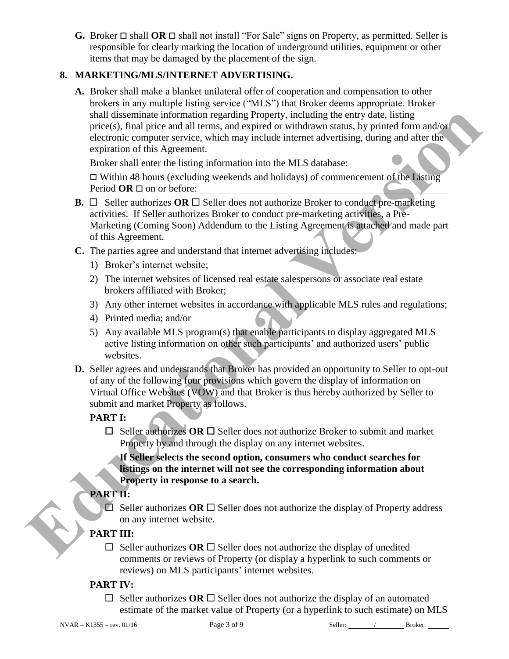**G.** Broker  $\Box$  shall **OR**  $\Box$  shall not install "For Sale" signs on Property, as permitted. Seller is responsible for clearly marking the location of underground utilities, equipment or other items that may be damaged by the placement of the sign.

## **8. MARKETING/MLS/INTERNET ADVERTISING.**

**A.** Broker shall make a blanket unilateral offer of cooperation and compensation to other brokers in any multiple listing service ("MLS") that Broker deems appropriate. Broker shall disseminate information regarding Property, including the entry date, listing price(s), final price and all terms, and expired or withdrawn status, by printed form and/or electronic computer service, which may include internet advertising, during and after the expiration of this Agreement.

Broker shall enter the listing information into the MLS database:

 $\Box$  Within 48 hours (excluding weekends and holidays) of commencement of the Listing Period  $OR \square$  on or before:

- **B.**  $\Box$  Seller authorizes **OR**  $\Box$  Seller does not authorize Broker to conduct pre-marketing activities. If Seller authorizes Broker to conduct pre-marketing activities, a Pre-Marketing (Coming Soon) Addendum to the Listing Agreement is attached and made part of this Agreement. shall disseminate information regarding Property, including the earty data. It<br>is price of a fit the system of the system of the system of electronic computer service, which may include internet advertising, during and aft
	- **C.** The parties agree and understand that internet advertising includes:
		- 1) Broker's internet website;
		- 2) The internet websites of licensed real estate salespersons or associate real estate brokers affiliated with Broker;
		- 3) Any other internet websites in accordance with applicable MLS rules and regulations;
		- 4) Printed media; and/or
		- 5) Any available MLS program(s) that enable participants to display aggregated MLS active listing information on other such participants' and authorized users' public websites.
	- **D.** Seller agrees and understands that Broker has provided an opportunity to Seller to opt-out of any of the following four provisions which govern the display of information on Virtual Office Websites (VOW) and that Broker is thus hereby authorized by Seller to submit and market Property as follows.

#### **PART I:**

 $\Box$  Seller authorizes OR  $\Box$  Seller does not authorize Broker to submit and market Property by and through the display on any internet websites.

**If Seller selects the second option, consumers who conduct searches for listings on the internet will not see the corresponding information about Property in response to a search.**

## **PART II:**

 $\Box$  Seller authorizes OR  $\Box$  Seller does not authorize the display of Property address on any internet website.

## **PART III:**

 $\Box$  Seller authorizes **OR**  $\Box$  Seller does not authorize the display of unedited comments or reviews of Property (or display a hyperlink to such comments or reviews) on MLS participants' internet websites.

#### **PART IV:**

 $\Box$  Seller authorizes **OR**  $\Box$  Seller does not authorize the display of an automated estimate of the market value of Property (or a hyperlink to such estimate) on MLS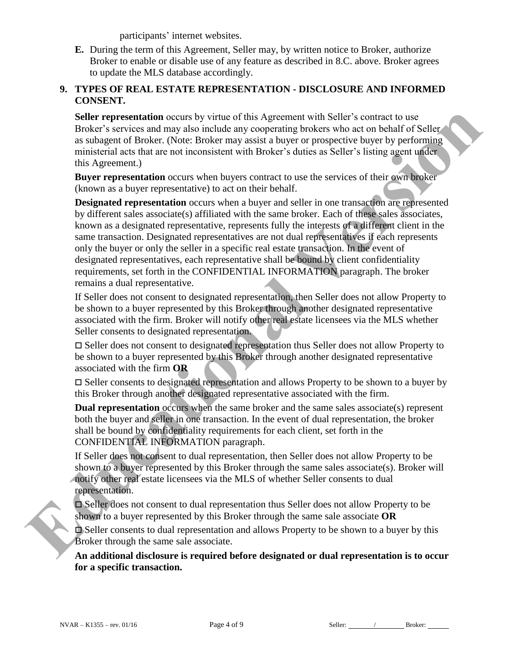participants' internet websites.

**E.** During the term of this Agreement, Seller may, by written notice to Broker, authorize Broker to enable or disable use of any feature as described in 8.C. above. Broker agrees to update the MLS database accordingly.

#### **9. TYPES OF REAL ESTATE REPRESENTATION - DISCLOSURE AND INFORMED CONSENT.**

**Seller representation** occurs by virtue of this Agreement with Seller's contract to use Broker's services and may also include any cooperating brokers who act on behalf of Seller as subagent of Broker. (Note: Broker may assist a buyer or prospective buyer by performing ministerial acts that are not inconsistent with Broker's duties as Seller's listing agent under this Agreement.)

**Buyer representation** occurs when buyers contract to use the services of their own broker (known as a buyer representative) to act on their behalf.

**Designated representation** occurs when a buyer and seller in one transaction are represented by different sales associate(s) affiliated with the same broker. Each of these sales associates, known as a designated representative, represents fully the interests of a different client in the same transaction. Designated representatives are not dual representatives if each represents only the buyer or only the seller in a specific real estate transaction. In the event of designated representatives, each representative shall be bound by client confidentiality requirements, set forth in the CONFIDENTIAL INFORMATION paragraph. The broker remains a dual representative. nent with Seller's contract to use<br>ng brokers who act on behalf of Seller<br>er or prospective buyer by performing<br>duties as Seller's listing agent under<br>poster is a Seller's listing agent under<br>lif.<br>seller in one transaction

If Seller does not consent to designated representation, then Seller does not allow Property to be shown to a buyer represented by this Broker through another designated representative associated with the firm. Broker will notify other real estate licensees via the MLS whether Seller consents to designated representation.

 Seller does not consent to designated representation thus Seller does not allow Property to be shown to a buyer represented by this Broker through another designated representative associated with the firm **OR**

 $\Box$  Seller consents to designated representation and allows Property to be shown to a buyer by this Broker through another designated representative associated with the firm.

**Dual representation** occurs when the same broker and the same sales associate(s) represent both the buyer and seller in one transaction. In the event of dual representation, the broker shall be bound by confidentiality requirements for each client, set forth in the CONFIDENTIAL INFORMATION paragraph. remains a dual representative.<br>
If Seller does not consent to designated representation, then S<br>
be shown to a buyer represented by this Broker through anoth<br>
associated with the firm. Broker will notify other real estate

If Seller does not consent to dual representation, then Seller does not allow Property to be shown to a buyer represented by this Broker through the same sales associate(s). Broker will notify other real estate licensees via the MLS of whether Seller consents to dual representation.

 Seller does not consent to dual representation thus Seller does not allow Property to be shown to a buyer represented by this Broker through the same sale associate **OR**

 Seller consents to dual representation and allows Property to be shown to a buyer by this Broker through the same sale associate.

**An additional disclosure is required before designated or dual representation is to occur for a specific transaction.** 

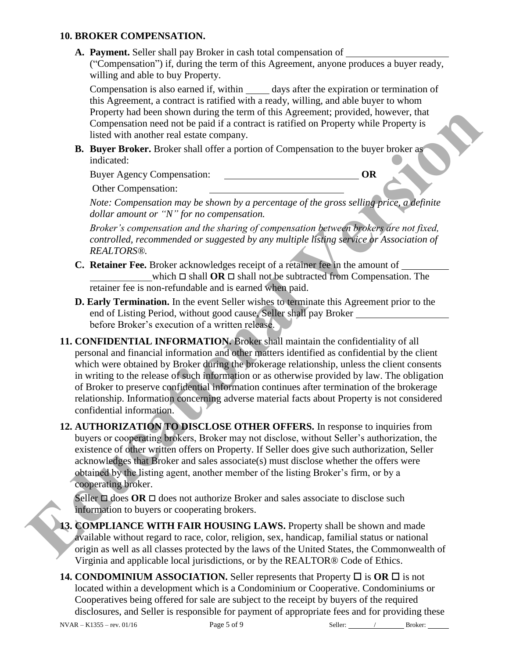#### **10. BROKER COMPENSATION.**

**A. Payment.** Seller shall pay Broker in cash total compensation of

("Compensation") if, during the term of this Agreement, anyone produces a buyer ready, willing and able to buy Property.

Compensation is also earned if, within days after the expiration or termination of this Agreement, a contract is ratified with a ready, willing, and able buyer to whom Property had been shown during the term of this Agreement; provided, however, that Compensation need not be paid if a contract is ratified on Property while Property is listed with another real estate company.

**B. Buyer Broker.** Broker shall offer a portion of Compensation to the buyer broker as indicated:

Buyer Agency Compensation: **OR**

Other Compensation:

*Note: Compensation may be shown by a percentage of the gross selling price, a definite dollar amount or "N" for no compensation.* 

*Broker's compensation and the sharing of compensation between brokers are not fixed, controlled, recommended or suggested by any multiple listing service or Association of REALTORS®.*

- **C. Retainer Fee.** Broker acknowledges receipt of a retainer fee in the amount of which  $\Box$  shall **OR**  $\Box$  shall not be subtracted from Compensation. The retainer fee is non-refundable and is earned when paid.
- **D. Early Termination.** In the event Seller wishes to terminate this Agreement prior to the end of Listing Period, without good cause, Seller shall pay Broker before Broker's execution of a written release.
- **11. CONFIDENTIAL INFORMATION.** Broker shall maintain the confidentiality of all personal and financial information and other matters identified as confidential by the client which were obtained by Broker during the brokerage relationship, unless the client consents in writing to the release of such information or as otherwise provided by law. The obligation of Broker to preserve confidential information continues after termination of the brokerage relationship. Information concerning adverse material facts about Property is not considered confidential information. Froperty haal been shown during the term of this Appendix the however, that I<br>
Tomperassion need and the acquitation of Compensation Property while Property is<br>
Inicial of the acquitation of Compensation to the buyer broke
	- **12. AUTHORIZATION TO DISCLOSE OTHER OFFERS.** In response to inquiries from buyers or cooperating brokers, Broker may not disclose, without Seller's authorization, the existence of other written offers on Property. If Seller does give such authorization, Seller acknowledges that Broker and sales associate(s) must disclose whether the offers were obtained by the listing agent, another member of the listing Broker's firm, or by a cooperating broker.

Seller  $\Box$  does OR  $\Box$  does not authorize Broker and sales associate to disclose such information to buyers or cooperating brokers.

- **13. COMPLIANCE WITH FAIR HOUSING LAWS.** Property shall be shown and made available without regard to race, color, religion, sex, handicap, familial status or national origin as well as all classes protected by the laws of the United States, the Commonwealth of Virginia and applicable local jurisdictions, or by the REALTOR® Code of Ethics.
- **14. CONDOMINIUM ASSOCIATION.** Seller represents that Property  $\Box$  is  $\overline{OR}$   $\Box$  is not located within a development which is a Condominium or Cooperative. Condominiums or Cooperatives being offered for sale are subject to the receipt by buyers of the required disclosures, and Seller is responsible for payment of appropriate fees and for providing these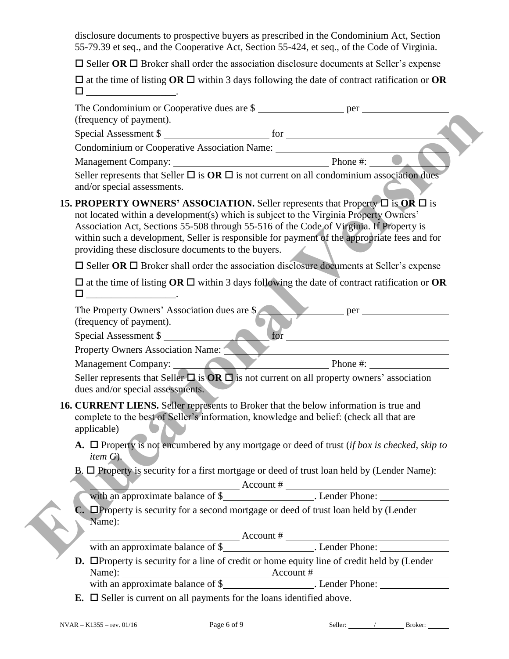disclosure documents to prospective buyers as prescribed in the Condominium Act, Section 55-79.39 et seq., and the Cooperative Act, Section 55-424, et seq., of the Code of Virginia.

 $\square$  Seller **OR**  $\square$  Broker shall order the association disclosure documents at Seller's expense

 $\square$  at the time of listing **OR**  $\square$  within 3 days following the date of contract ratification or **OR**  $\square$  \_\_\_\_\_\_\_\_\_\_\_\_\_\_\_\_\_\_\_\_\_\_\_\_\_.

| The Condominium or Cooperative dues are \$<br>(frequency of payment).                                                                                                                                                                                                                                                                                                                                                                      |                                                                                                                                                                                                                                                                                                                                                                                                                         |
|--------------------------------------------------------------------------------------------------------------------------------------------------------------------------------------------------------------------------------------------------------------------------------------------------------------------------------------------------------------------------------------------------------------------------------------------|-------------------------------------------------------------------------------------------------------------------------------------------------------------------------------------------------------------------------------------------------------------------------------------------------------------------------------------------------------------------------------------------------------------------------|
| Special Assessment \$                                                                                                                                                                                                                                                                                                                                                                                                                      |                                                                                                                                                                                                                                                                                                                                                                                                                         |
| Condominium or Cooperative Association Name: ___________________________________                                                                                                                                                                                                                                                                                                                                                           |                                                                                                                                                                                                                                                                                                                                                                                                                         |
|                                                                                                                                                                                                                                                                                                                                                                                                                                            |                                                                                                                                                                                                                                                                                                                                                                                                                         |
| Seller represents that Seller $\Box$ is $OR \Box$ is not current on all condominium association dues<br>and/or special assessments.                                                                                                                                                                                                                                                                                                        |                                                                                                                                                                                                                                                                                                                                                                                                                         |
| <b>15. PROPERTY OWNERS' ASSOCIATION.</b> Seller represents that Property $\Box$ is OR $\Box$ is<br>not located within a development(s) which is subject to the Virginia Property Owners'<br>Association Act, Sections 55-508 through 55-516 of the Code of Virginia. If Property is<br>within such a development, Seller is responsible for payment of the appropriate fees and for<br>providing these disclosure documents to the buyers. |                                                                                                                                                                                                                                                                                                                                                                                                                         |
| $\Box$ Seller OR $\Box$ Broker shall order the association disclosure documents at Seller's expense                                                                                                                                                                                                                                                                                                                                        |                                                                                                                                                                                                                                                                                                                                                                                                                         |
| $\square$ at the time of listing OR $\square$ within 3 days following the date of contract ratification or OR                                                                                                                                                                                                                                                                                                                              |                                                                                                                                                                                                                                                                                                                                                                                                                         |
| The Property Owners' Association dues are \$                                                                                                                                                                                                                                                                                                                                                                                               | $per$ per $per$                                                                                                                                                                                                                                                                                                                                                                                                         |
| (frequency of payment).                                                                                                                                                                                                                                                                                                                                                                                                                    |                                                                                                                                                                                                                                                                                                                                                                                                                         |
| Special Assessment \$                                                                                                                                                                                                                                                                                                                                                                                                                      | for                                                                                                                                                                                                                                                                                                                                                                                                                     |
| <b>Property Owners Association Name:</b>                                                                                                                                                                                                                                                                                                                                                                                                   |                                                                                                                                                                                                                                                                                                                                                                                                                         |
| Management Company: Phone #:                                                                                                                                                                                                                                                                                                                                                                                                               |                                                                                                                                                                                                                                                                                                                                                                                                                         |
| Seller represents that Seller $\Box$ is $OR \Box$ is not current on all property owners' association<br>dues and/or special assessments.                                                                                                                                                                                                                                                                                                   |                                                                                                                                                                                                                                                                                                                                                                                                                         |
| 16. CURRENT LIENS. Seller represents to Broker that the below information is true and<br>complete to the best of Seller's information, knowledge and belief: (check all that are<br>applicable)                                                                                                                                                                                                                                            |                                                                                                                                                                                                                                                                                                                                                                                                                         |
| A. $\Box$ Property is not encumbered by any mortgage or deed of trust (if box is checked, skip to<br><i>item <math>G</math></i> .                                                                                                                                                                                                                                                                                                          |                                                                                                                                                                                                                                                                                                                                                                                                                         |
| B. $\Box$ Property is security for a first mortgage or deed of trust loan held by (Lender Name):                                                                                                                                                                                                                                                                                                                                           |                                                                                                                                                                                                                                                                                                                                                                                                                         |
|                                                                                                                                                                                                                                                                                                                                                                                                                                            |                                                                                                                                                                                                                                                                                                                                                                                                                         |
|                                                                                                                                                                                                                                                                                                                                                                                                                                            |                                                                                                                                                                                                                                                                                                                                                                                                                         |
| C. OProperty is security for a second mortgage or deed of trust loan held by (Lender<br>Name):                                                                                                                                                                                                                                                                                                                                             |                                                                                                                                                                                                                                                                                                                                                                                                                         |
|                                                                                                                                                                                                                                                                                                                                                                                                                                            |                                                                                                                                                                                                                                                                                                                                                                                                                         |
|                                                                                                                                                                                                                                                                                                                                                                                                                                            |                                                                                                                                                                                                                                                                                                                                                                                                                         |
| <b>D.</b> $\Box$ Property is security for a line of credit or home equity line of credit held by (Lender                                                                                                                                                                                                                                                                                                                                   |                                                                                                                                                                                                                                                                                                                                                                                                                         |
|                                                                                                                                                                                                                                                                                                                                                                                                                                            |                                                                                                                                                                                                                                                                                                                                                                                                                         |
| <b>E.</b> $\Box$ Seller is current on all payments for the loans identified above.                                                                                                                                                                                                                                                                                                                                                         |                                                                                                                                                                                                                                                                                                                                                                                                                         |
| Page 6 of 9<br>$NVAR - K1355 - rev. 01/16$                                                                                                                                                                                                                                                                                                                                                                                                 | Seller: $\frac{1}{\sqrt{1-\frac{1}{2}}\sqrt{1-\frac{1}{2}}\sqrt{1-\frac{1}{2}}\sqrt{1-\frac{1}{2}}\sqrt{1-\frac{1}{2}}\sqrt{1-\frac{1}{2}}\sqrt{1-\frac{1}{2}}\sqrt{1-\frac{1}{2}}\sqrt{1-\frac{1}{2}}\sqrt{1-\frac{1}{2}}\sqrt{1-\frac{1}{2}}\sqrt{1-\frac{1}{2}}\sqrt{1-\frac{1}{2}}\sqrt{1-\frac{1}{2}}\sqrt{1-\frac{1}{2}}\sqrt{1-\frac{1}{2}}\sqrt{1-\frac{1}{2}}\sqrt{1-\frac{1}{2}}\sqrt{1-\frac{1}{$<br>Broker: |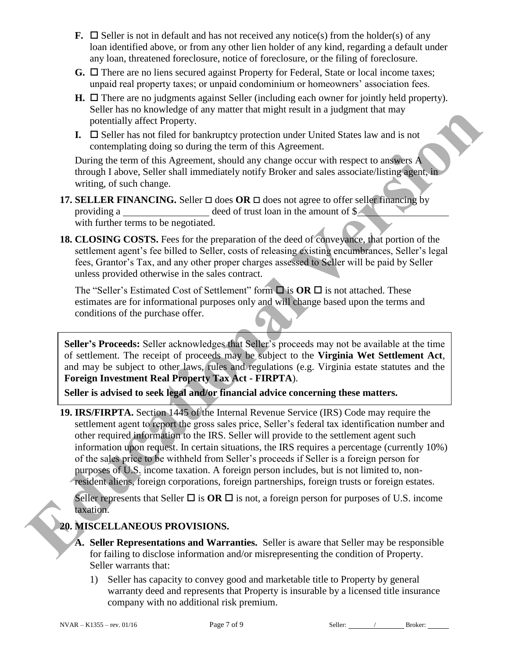- **F.**  $\Box$  Seller is not in default and has not received any notice(s) from the holder(s) of any loan identified above, or from any other lien holder of any kind, regarding a default under any loan, threatened foreclosure, notice of foreclosure, or the filing of foreclosure.
- **G.**  $\Box$  There are no liens secured against Property for Federal, State or local income taxes; unpaid real property taxes; or unpaid condominium or homeowners' association fees.
- $H. \Box$  There are no judgments against Seller (including each owner for jointly held property). Seller has no knowledge of any matter that might result in a judgment that may potentially affect Property.
- **I.**  $\Box$  Seller has not filed for bankruptcy protection under United States law and is not contemplating doing so during the term of this Agreement.

During the term of this Agreement, should any change occur with respect to answers A through I above, Seller shall immediately notify Broker and sales associate/listing agent, in writing, of such change.

- **17. SELLER FINANCING.** Seller  $\Box$  does **OR**  $\Box$  does not agree to offer seller financing by providing a deed of trust loan in the amount of \$ with further terms to be negotiated.
- **18. CLOSING COSTS.** Fees for the preparation of the deed of conveyance, that portion of the settlement agent's fee billed to Seller, costs of releasing existing encumbrances, Seller's legal fees, Grantor's Tax, and any other proper charges assessed to Seller will be paid by Seller unless provided otherwise in the sales contract.

The "Seller's Estimated Cost of Settlement" form  $\Box$  is **OR**  $\Box$  is not attached. These estimates are for informational purposes only and will change based upon the terms and conditions of the purchase offer.

**Seller's Proceeds:** Seller acknowledges that Seller's proceeds may not be available at the time of settlement. The receipt of proceeds may be subject to the **Virginia Wet Settlement Act**, and may be subject to other laws, rules and regulations (e.g. Virginia estate statutes and the **Foreign Investment Real Property Tax Act - FIRPTA**).

**Seller is advised to seek legal and/or financial advice concerning these matters.**

**19. IRS/FIRPTA.** Section 1445 of the Internal Revenue Service (IRS) Code may require the settlement agent to report the gross sales price, Seller's federal tax identification number and other required information to the IRS. Seller will provide to the settlement agent such information upon request. In certain situations, the IRS requires a percentage (currently 10%) of the sales price to be withheld from Seller's proceeds if Seller is a foreign person for purposes of U.S. income taxation. A foreign person includes, but is not limited to, nonresident aliens, foreign corporations, foreign partnerships, foreign trusts or foreign estates. State Tas we between the the property and the solution of the solution of the solution of the solution of the solution of the solution of the solution of the solution of the solution of the solution of the solution of the

Seller represents that Seller  $\Box$  is  $OR \Box$  is not, a foreign person for purposes of U.S. income taxation.

# **20. MISCELLANEOUS PROVISIONS.**

- **A. Seller Representations and Warranties.** Seller is aware that Seller may be responsible for failing to disclose information and/or misrepresenting the condition of Property. Seller warrants that:
	- 1) Seller has capacity to convey good and marketable title to Property by general warranty deed and represents that Property is insurable by a licensed title insurance company with no additional risk premium.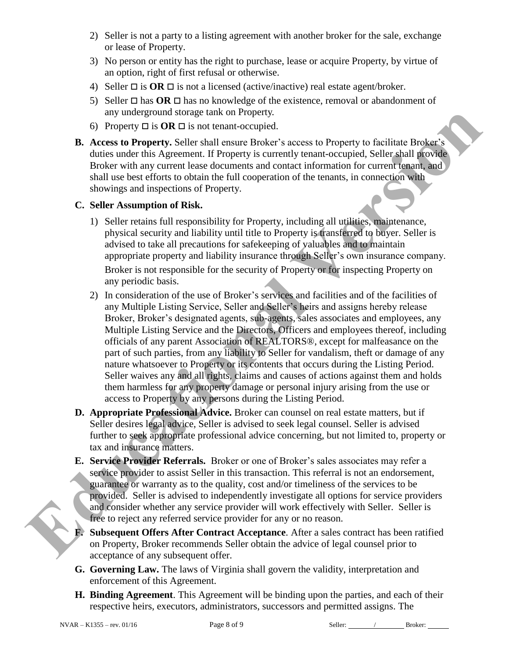- 2) Seller is not a party to a listing agreement with another broker for the sale, exchange or lease of Property.
- 3) No person or entity has the right to purchase, lease or acquire Property, by virtue of an option, right of first refusal or otherwise.
- 4) Seller  $\Box$  is **OR**  $\Box$  is not a licensed (active/inactive) real estate agent/broker.
- 5) Seller  $\Box$  has **OR**  $\Box$  has no knowledge of the existence, removal or abandonment of any underground storage tank on Property.
- 6) Property  $\Box$  is  $OR \Box$  is not tenant-occupied.
- **B. Access to Property.** Seller shall ensure Broker's access to Property to facilitate Broker's duties under this Agreement. If Property is currently tenant-occupied, Seller shall provide Broker with any current lease documents and contact information for current tenant, and shall use best efforts to obtain the full cooperation of the tenants, in connection with showings and inspections of Property.

#### **C. Seller Assumption of Risk.**

- 1) Seller retains full responsibility for Property, including all utilities, maintenance, physical security and liability until title to Property is transferred to buyer. Seller is advised to take all precautions for safekeeping of valuables and to maintain appropriate property and liability insurance through Seller's own insurance company. Broker is not responsible for the security of Property or for inspecting Property on any periodic basis.
- 2) In consideration of the use of Broker's services and facilities and of the facilities of any Multiple Listing Service, Seller and Seller's heirs and assigns hereby release Broker, Broker's designated agents, sub-agents, sales associates and employees, any Multiple Listing Service and the Directors, Officers and employees thereof, including officials of any parent Association of REALTORS®, except for malfeasance on the part of such parties, from any liability to Seller for vandalism, theft or damage of any nature whatsoever to Property or its contents that occurs during the Listing Period. Seller waives any and all rights, claims and causes of actions against them and holds them harmless for any property damage or personal injury arising from the use or access to Property by any persons during the Listing Period. **EV** underground storage time for Property CI is OR Distance control of Property to Each Tax Access to Penperty to facilitate Brukes's and the duce to the control of the control of the control of the control of the control
	- **D. Appropriate Professional Advice.** Broker can counsel on real estate matters, but if Seller desires legal advice, Seller is advised to seek legal counsel. Seller is advised further to seek appropriate professional advice concerning, but not limited to, property or tax and insurance matters.
	- **E. Service Provider Referrals.** Broker or one of Broker's sales associates may refer a service provider to assist Seller in this transaction. This referral is not an endorsement, guarantee or warranty as to the quality, cost and/or timeliness of the services to be provided. Seller is advised to independently investigate all options for service providers and consider whether any service provider will work effectively with Seller. Seller is free to reject any referred service provider for any or no reason.
	- **F. Subsequent Offers After Contract Acceptance**. After a sales contract has been ratified on Property, Broker recommends Seller obtain the advice of legal counsel prior to acceptance of any subsequent offer.
	- **G. Governing Law.** The laws of Virginia shall govern the validity, interpretation and enforcement of this Agreement.
	- **H. Binding Agreement**. This Agreement will be binding upon the parties, and each of their respective heirs, executors, administrators, successors and permitted assigns. The